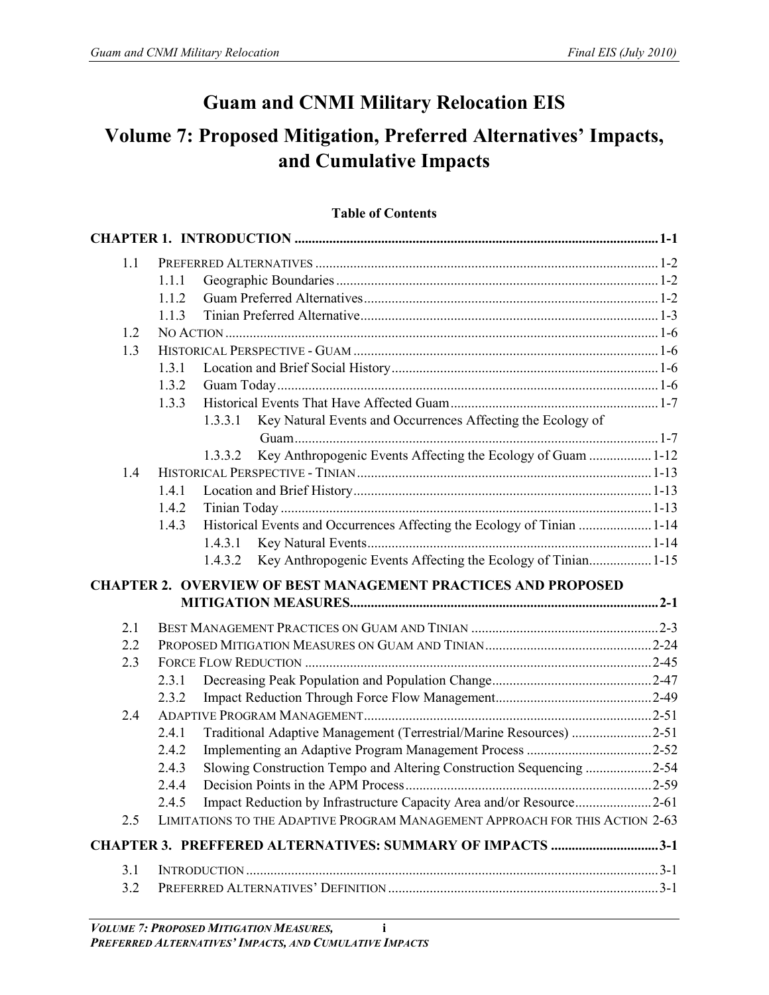## **Guam and CNMI Military Relocation EIS**

# **Volume 7: Proposed Mitigation, Preferred Alternatives' Impacts, and Cumulative Impacts**

### **Table of Contents**

| 1.1 |       |         |                                                                              |  |
|-----|-------|---------|------------------------------------------------------------------------------|--|
|     | 1.1.1 |         |                                                                              |  |
|     | 1.1.2 |         |                                                                              |  |
|     | 1.1.3 |         |                                                                              |  |
| 1.2 |       |         |                                                                              |  |
| 1.3 |       |         |                                                                              |  |
|     | 1.3.1 |         |                                                                              |  |
|     | 1.3.2 |         |                                                                              |  |
|     | 1.3.3 |         |                                                                              |  |
|     |       | 1.3.3.1 | Key Natural Events and Occurrences Affecting the Ecology of                  |  |
|     |       |         |                                                                              |  |
|     |       | 1.3.3.2 | Key Anthropogenic Events Affecting the Ecology of Guam  1-12                 |  |
| 1.4 |       |         |                                                                              |  |
|     | 1.4.1 |         |                                                                              |  |
|     | 1.4.2 |         |                                                                              |  |
|     | 1.4.3 |         | Historical Events and Occurrences Affecting the Ecology of Tinian 1-14       |  |
|     |       |         |                                                                              |  |
|     |       | 1.4.3.2 | Key Anthropogenic Events Affecting the Ecology of Tinian1-15                 |  |
|     |       |         | <b>CHAPTER 2. OVERVIEW OF BEST MANAGEMENT PRACTICES AND PROPOSED</b>         |  |
|     |       |         |                                                                              |  |
|     |       |         |                                                                              |  |
| 2.1 |       |         |                                                                              |  |
| 2.2 |       |         |                                                                              |  |
| 2.3 |       |         |                                                                              |  |
|     | 2.3.1 |         |                                                                              |  |
|     | 2.3.2 |         |                                                                              |  |
| 2.4 |       |         |                                                                              |  |
|     | 2.4.1 |         | Traditional Adaptive Management (Terrestrial/Marine Resources) 2-51          |  |
|     | 2.4.2 |         |                                                                              |  |
|     | 2.4.3 |         | Slowing Construction Tempo and Altering Construction Sequencing 2-54         |  |
|     | 2.4.4 |         |                                                                              |  |
|     | 2.4.5 |         |                                                                              |  |
| 2.5 |       |         | LIMITATIONS TO THE ADAPTIVE PROGRAM MANAGEMENT APPROACH FOR THIS ACTION 2-63 |  |
|     |       |         | <b>CHAPTER 3. PREFFERED ALTERNATIVES: SUMMARY OF IMPACTS 3-1</b>             |  |
| 3.1 |       |         |                                                                              |  |
| 3.2 |       |         |                                                                              |  |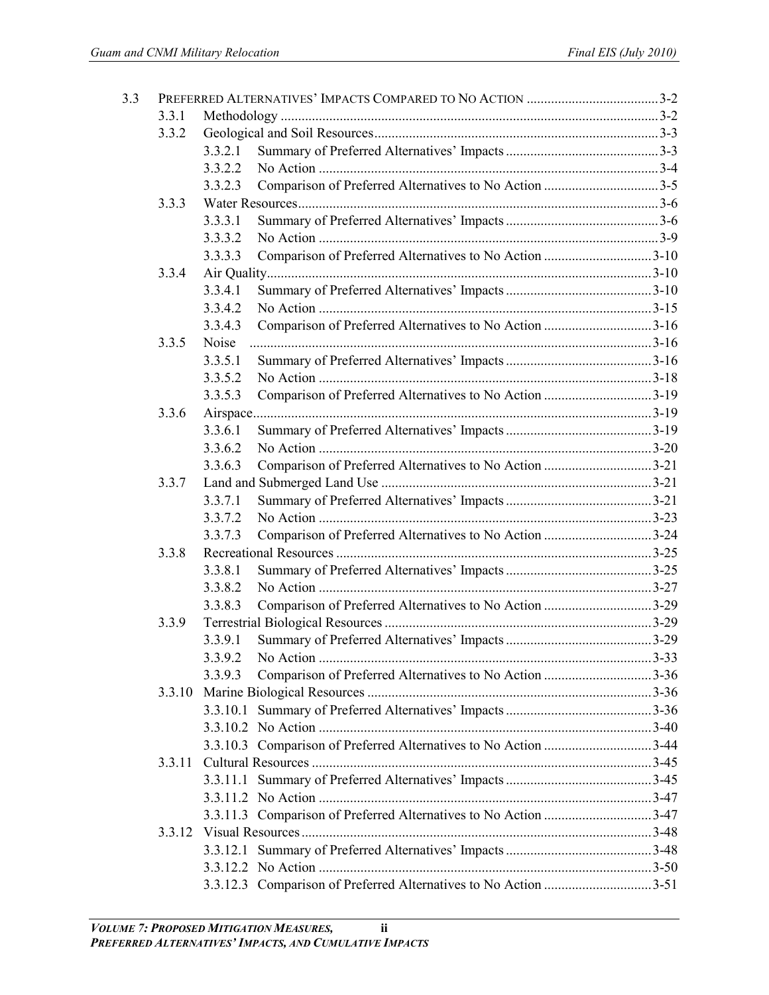| 3.3 |        |         |                                                                 |  |
|-----|--------|---------|-----------------------------------------------------------------|--|
|     | 3.3.1  |         |                                                                 |  |
|     | 3.3.2  |         |                                                                 |  |
|     |        | 3.3.2.1 |                                                                 |  |
|     |        | 3.3.2.2 |                                                                 |  |
|     |        | 3.3.2.3 |                                                                 |  |
|     | 3.3.3  |         |                                                                 |  |
|     |        | 3.3.3.1 |                                                                 |  |
|     |        | 3.3.3.2 |                                                                 |  |
|     |        | 3.3.3.3 | Comparison of Preferred Alternatives to No Action 3-10          |  |
|     | 3.3.4  |         |                                                                 |  |
|     |        | 3.3.4.1 |                                                                 |  |
|     |        | 3.3.4.2 |                                                                 |  |
|     |        | 3.3.4.3 | Comparison of Preferred Alternatives to No Action 3-16          |  |
|     | 3.3.5  | Noise   |                                                                 |  |
|     |        | 3.3.5.1 |                                                                 |  |
|     |        | 3.3.5.2 |                                                                 |  |
|     |        | 3.3.5.3 | Comparison of Preferred Alternatives to No Action 3-19          |  |
|     | 3.3.6  |         |                                                                 |  |
|     |        | 3.3.6.1 |                                                                 |  |
|     |        | 3.3.6.2 |                                                                 |  |
|     |        | 3.3.6.3 | Comparison of Preferred Alternatives to No Action 3-21          |  |
|     | 3.3.7  |         |                                                                 |  |
|     |        | 3.3.7.1 |                                                                 |  |
|     |        | 3.3.7.2 |                                                                 |  |
|     |        | 3.3.7.3 | Comparison of Preferred Alternatives to No Action 3-24          |  |
|     | 3.3.8  |         |                                                                 |  |
|     |        | 3.3.8.1 |                                                                 |  |
|     |        | 3.3.8.2 |                                                                 |  |
|     |        | 3.3.8.3 | Comparison of Preferred Alternatives to No Action 3-29          |  |
|     | 3.3.9  |         |                                                                 |  |
|     |        | 3.3.9.1 |                                                                 |  |
|     |        |         |                                                                 |  |
|     |        | 3.3.9.3 | Comparison of Preferred Alternatives to No Action 3-36          |  |
|     |        |         |                                                                 |  |
|     |        |         |                                                                 |  |
|     |        |         |                                                                 |  |
|     |        |         | 3.3.10.3 Comparison of Preferred Alternatives to No Action 3-44 |  |
|     | 3.3.11 |         |                                                                 |  |
|     |        |         |                                                                 |  |
|     |        |         |                                                                 |  |
|     |        |         |                                                                 |  |
|     |        |         |                                                                 |  |
|     |        |         |                                                                 |  |
|     |        |         |                                                                 |  |
|     |        |         | 3.3.12.3 Comparison of Preferred Alternatives to No Action 3-51 |  |
|     |        |         |                                                                 |  |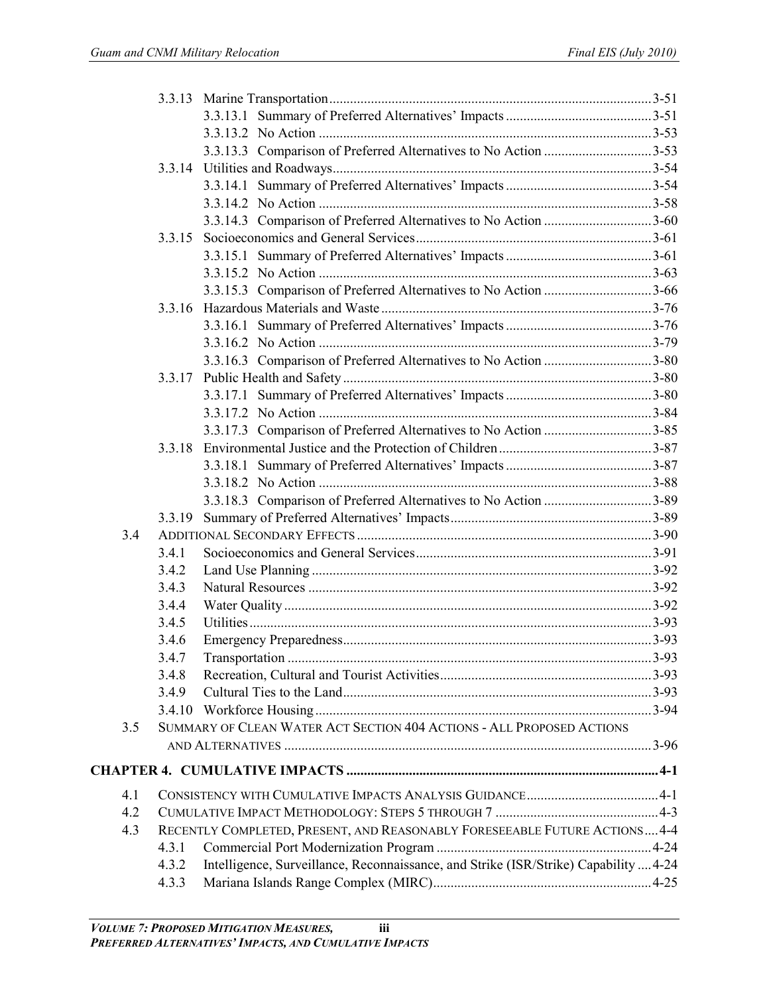|     |        | 3.3.13.3 Comparison of Preferred Alternatives to No Action 3-53                      |  |
|-----|--------|--------------------------------------------------------------------------------------|--|
|     |        |                                                                                      |  |
|     |        |                                                                                      |  |
|     |        |                                                                                      |  |
|     |        |                                                                                      |  |
|     | 3.3.15 |                                                                                      |  |
|     |        |                                                                                      |  |
|     |        |                                                                                      |  |
|     |        |                                                                                      |  |
|     | 3.3.16 |                                                                                      |  |
|     |        |                                                                                      |  |
|     |        |                                                                                      |  |
|     |        | 3.3.16.3 Comparison of Preferred Alternatives to No Action 3-80                      |  |
|     | 3.3.17 |                                                                                      |  |
|     |        |                                                                                      |  |
|     |        |                                                                                      |  |
|     |        | 3.3.17.3 Comparison of Preferred Alternatives to No Action 3-85                      |  |
|     | 3.3.18 |                                                                                      |  |
|     |        |                                                                                      |  |
|     |        |                                                                                      |  |
|     |        |                                                                                      |  |
|     | 3.3.19 |                                                                                      |  |
| 3.4 |        |                                                                                      |  |
|     | 3.4.1  |                                                                                      |  |
|     | 3.4.2  |                                                                                      |  |
|     | 3.4.3  |                                                                                      |  |
|     | 3.4.4  |                                                                                      |  |
|     | 3.4.5  |                                                                                      |  |
|     | 3.4.6  |                                                                                      |  |
|     | 3.4.7  |                                                                                      |  |
|     | 3.4.8  |                                                                                      |  |
|     | 3.4.9  |                                                                                      |  |
|     | 3.4.10 |                                                                                      |  |
| 3.5 |        | SUMMARY OF CLEAN WATER ACT SECTION 404 ACTIONS - ALL PROPOSED ACTIONS                |  |
|     |        |                                                                                      |  |
|     |        |                                                                                      |  |
| 4.1 |        |                                                                                      |  |
| 4.2 |        |                                                                                      |  |
| 4.3 |        | RECENTLY COMPLETED, PRESENT, AND REASONABLY FORESEEABLE FUTURE ACTIONS 4-4           |  |
|     | 4.3.1  |                                                                                      |  |
|     | 4.3.2  | Intelligence, Surveillance, Reconnaissance, and Strike (ISR/Strike) Capability  4-24 |  |
|     | 4.3.3  |                                                                                      |  |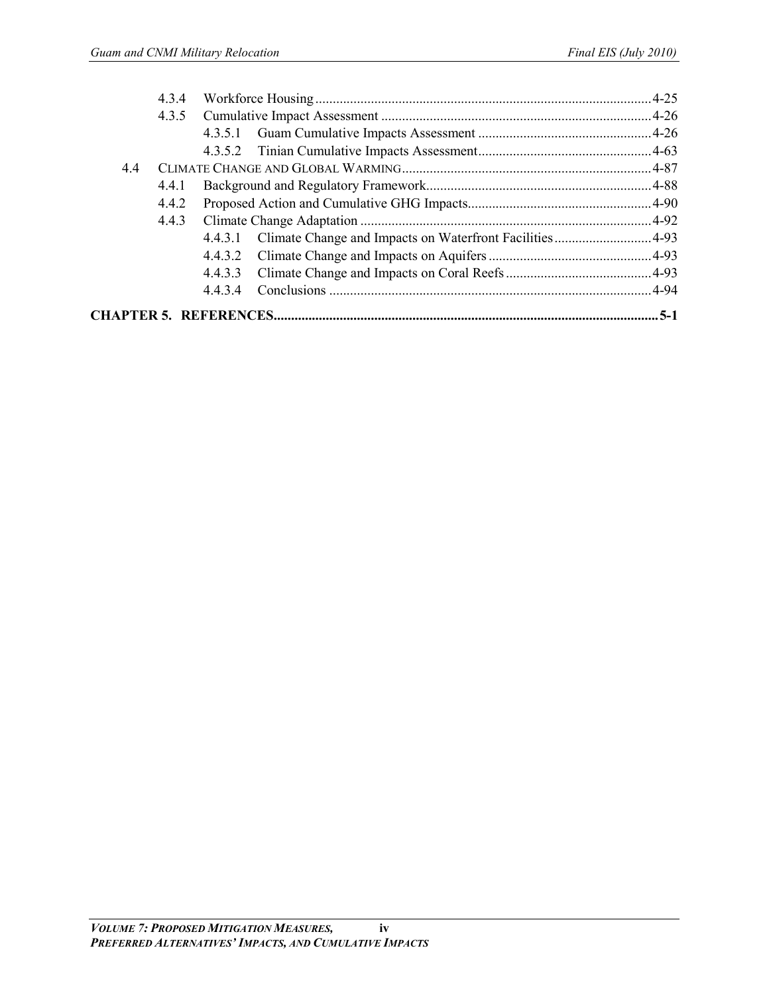|     | 4.3.4 |         |  |
|-----|-------|---------|--|
|     | 4.3.5 |         |  |
|     |       |         |  |
|     |       |         |  |
| 4.4 |       |         |  |
|     | 4.4.1 |         |  |
|     | 4.4.2 |         |  |
|     | 4.4.3 |         |  |
|     |       |         |  |
|     |       |         |  |
|     |       | 4.4.3.3 |  |
|     |       | 4434    |  |
|     |       |         |  |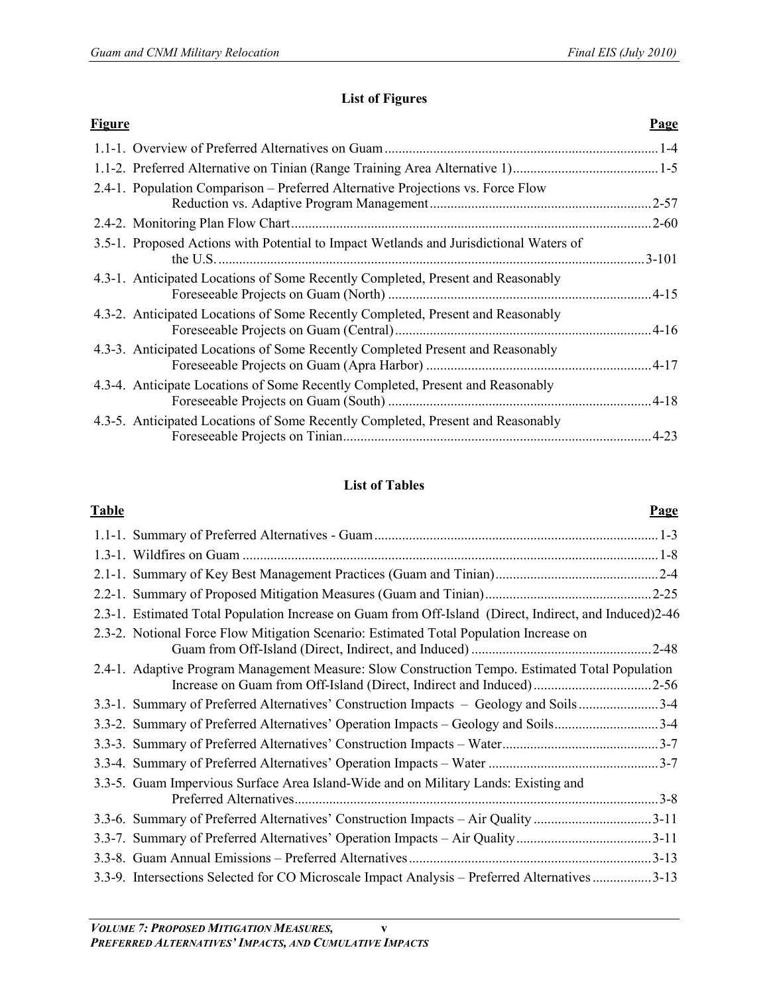### **List of Figures**

| <b>Figure</b> |                                                                                        | <b>Page</b> |
|---------------|----------------------------------------------------------------------------------------|-------------|
|               |                                                                                        |             |
|               |                                                                                        |             |
|               | 2.4-1. Population Comparison – Preferred Alternative Projections vs. Force Flow        | $2 - 57$    |
|               | 2.4-2. Monitoring Plan Flow Chart                                                      | $.2 - 60$   |
|               | 3.5-1. Proposed Actions with Potential to Impact Wetlands and Jurisdictional Waters of | $.3 - 101$  |
|               | 4.3-1. Anticipated Locations of Some Recently Completed, Present and Reasonably        |             |
|               | 4.3-2. Anticipated Locations of Some Recently Completed, Present and Reasonably        | $.4 - 16$   |
|               | 4.3-3. Anticipated Locations of Some Recently Completed Present and Reasonably         |             |
|               | 4.3-4. Anticipate Locations of Some Recently Completed, Present and Reasonably         |             |
|               | 4.3-5. Anticipated Locations of Some Recently Completed, Present and Reasonably        | $-4-23$     |

## **List of Tables**

#### **Table Page**

| 2.3-1. Estimated Total Population Increase on Guam from Off-Island (Direct, Indirect, and Induced)2-46                                                                 |  |
|------------------------------------------------------------------------------------------------------------------------------------------------------------------------|--|
| 2.3-2. Notional Force Flow Mitigation Scenario: Estimated Total Population Increase on                                                                                 |  |
| 2.4-1. Adaptive Program Management Measure: Slow Construction Tempo. Estimated Total Population<br>Increase on Guam from Off-Island (Direct, Indirect and Induced)2-56 |  |
| 3.3-1. Summary of Preferred Alternatives' Construction Impacts – Geology and Soils3-4                                                                                  |  |
| 3.3-2. Summary of Preferred Alternatives' Operation Impacts – Geology and Soils3-4                                                                                     |  |
|                                                                                                                                                                        |  |
|                                                                                                                                                                        |  |
| 3.3-5. Guam Impervious Surface Area Island-Wide and on Military Lands: Existing and                                                                                    |  |
| 3.3-6. Summary of Preferred Alternatives' Construction Impacts - Air Quality 3-11                                                                                      |  |
| 3.3-7. Summary of Preferred Alternatives' Operation Impacts – Air Quality 3-11                                                                                         |  |
|                                                                                                                                                                        |  |
| 3.3-9. Intersections Selected for CO Microscale Impact Analysis – Preferred Alternatives 3-13                                                                          |  |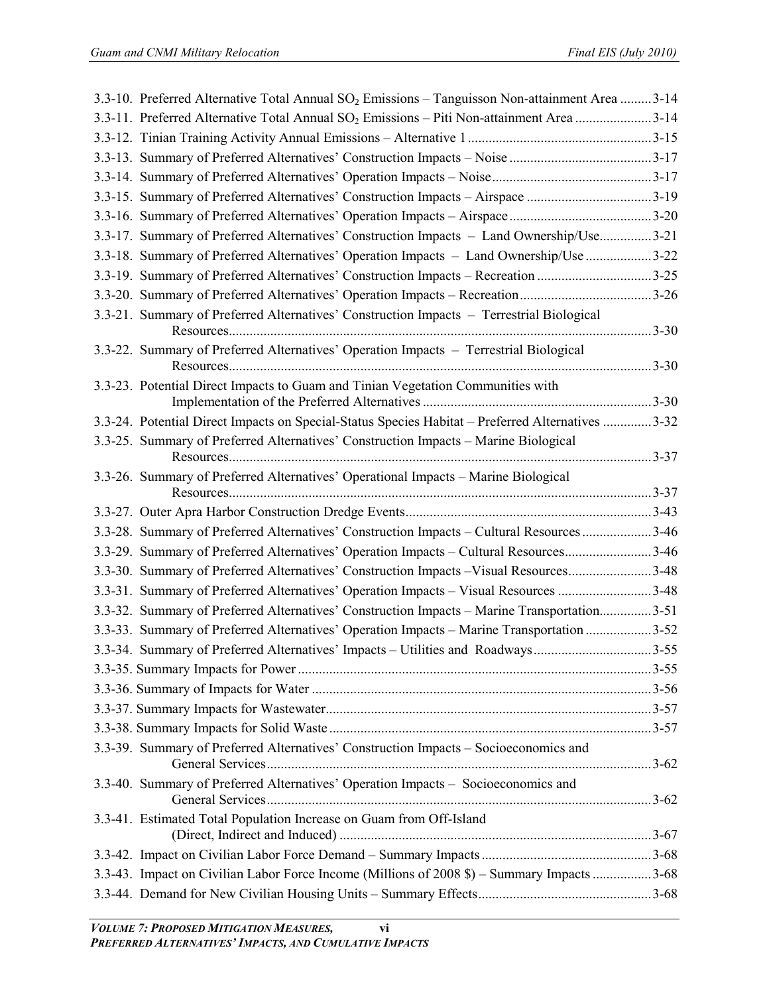| 3.3-10. Preferred Alternative Total Annual SO <sub>2</sub> Emissions – Tanguisson Non-attainment Area 3-14 |  |
|------------------------------------------------------------------------------------------------------------|--|
| 3.3-11. Preferred Alternative Total Annual SO <sub>2</sub> Emissions - Piti Non-attainment Area 3-14       |  |
|                                                                                                            |  |
|                                                                                                            |  |
|                                                                                                            |  |
| 3.3-15. Summary of Preferred Alternatives' Construction Impacts - Airspace 3-19                            |  |
|                                                                                                            |  |
| 3.3-17. Summary of Preferred Alternatives' Construction Impacts - Land Ownership/Use3-21                   |  |
| 3.3-18. Summary of Preferred Alternatives' Operation Impacts - Land Ownership/Use 3-22                     |  |
| 3.3-19. Summary of Preferred Alternatives' Construction Impacts – Recreation 3-25                          |  |
| 3.3-20. Summary of Preferred Alternatives' Operation Impacts - Recreation3-26                              |  |
| 3.3-21. Summary of Preferred Alternatives' Construction Impacts - Terrestrial Biological                   |  |
| 3.3-22. Summary of Preferred Alternatives' Operation Impacts - Terrestrial Biological                      |  |
| 3.3-23. Potential Direct Impacts to Guam and Tinian Vegetation Communities with                            |  |
|                                                                                                            |  |
| 3.3-24. Potential Direct Impacts on Special-Status Species Habitat - Preferred Alternatives 3-32           |  |
| 3.3-25. Summary of Preferred Alternatives' Construction Impacts - Marine Biological                        |  |
| 3.3-26. Summary of Preferred Alternatives' Operational Impacts - Marine Biological                         |  |
|                                                                                                            |  |
|                                                                                                            |  |
| 3.3-28. Summary of Preferred Alternatives' Construction Impacts - Cultural Resources 3-46                  |  |
| 3.3-29. Summary of Preferred Alternatives' Operation Impacts - Cultural Resources3-46                      |  |
| 3.3-30. Summary of Preferred Alternatives' Construction Impacts - Visual Resources3-48                     |  |
| 3.3-31. Summary of Preferred Alternatives' Operation Impacts - Visual Resources 3-48                       |  |
| 3.3-32. Summary of Preferred Alternatives' Construction Impacts - Marine Transportation3-51                |  |
| 3.3-33. Summary of Preferred Alternatives' Operation Impacts – Marine Transportation 3-52                  |  |
| 3.3-34. Summary of Preferred Alternatives' Impacts – Utilities and Roadways3-55                            |  |
|                                                                                                            |  |
|                                                                                                            |  |
|                                                                                                            |  |
|                                                                                                            |  |
| 3.3-39. Summary of Preferred Alternatives' Construction Impacts – Socioeconomics and                       |  |
| 3.3-40. Summary of Preferred Alternatives' Operation Impacts - Socioeconomics and                          |  |
| 3.3-41. Estimated Total Population Increase on Guam from Off-Island                                        |  |
|                                                                                                            |  |
| 3.3-43. Impact on Civilian Labor Force Income (Millions of 2008 \$) – Summary Impacts 3-68                 |  |
|                                                                                                            |  |
|                                                                                                            |  |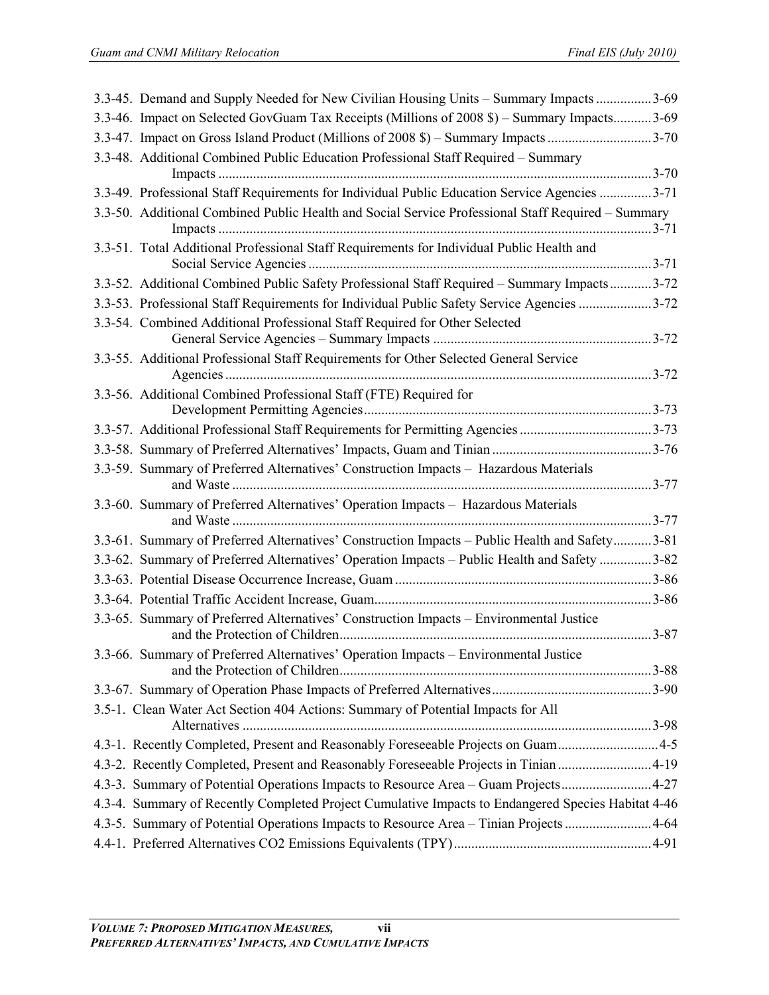| 3.3-46. Impact on Selected GovGuam Tax Receipts (Millions of 2008 \$) - Summary Impacts3-69<br>3.3-47. Impact on Gross Island Product (Millions of 2008 \$) – Summary Impacts 3-70<br>3.3-48. Additional Combined Public Education Professional Staff Required - Summary<br>3.3-49. Professional Staff Requirements for Individual Public Education Service Agencies 3-71<br>3.3-50. Additional Combined Public Health and Social Service Professional Staff Required - Summary<br>3.3-51. Total Additional Professional Staff Requirements for Individual Public Health and<br>3.3-52. Additional Combined Public Safety Professional Staff Required - Summary Impacts3-72<br>3.3-53. Professional Staff Requirements for Individual Public Safety Service Agencies 3-72<br>3.3-54. Combined Additional Professional Staff Required for Other Selected<br>3.3-55. Additional Professional Staff Requirements for Other Selected General Service<br>3.3-56. Additional Combined Professional Staff (FTE) Required for<br>3.3-57. Additional Professional Staff Requirements for Permitting Agencies 3-73<br>3.3-59. Summary of Preferred Alternatives' Construction Impacts - Hazardous Materials<br>3.3-60. Summary of Preferred Alternatives' Operation Impacts - Hazardous Materials<br>3.3-61. Summary of Preferred Alternatives' Construction Impacts - Public Health and Safety3-81<br>3.3-62. Summary of Preferred Alternatives' Operation Impacts - Public Health and Safety 3-82 |
|-------------------------------------------------------------------------------------------------------------------------------------------------------------------------------------------------------------------------------------------------------------------------------------------------------------------------------------------------------------------------------------------------------------------------------------------------------------------------------------------------------------------------------------------------------------------------------------------------------------------------------------------------------------------------------------------------------------------------------------------------------------------------------------------------------------------------------------------------------------------------------------------------------------------------------------------------------------------------------------------------------------------------------------------------------------------------------------------------------------------------------------------------------------------------------------------------------------------------------------------------------------------------------------------------------------------------------------------------------------------------------------------------------------------------------------------------------------------------------------------|
|                                                                                                                                                                                                                                                                                                                                                                                                                                                                                                                                                                                                                                                                                                                                                                                                                                                                                                                                                                                                                                                                                                                                                                                                                                                                                                                                                                                                                                                                                           |
|                                                                                                                                                                                                                                                                                                                                                                                                                                                                                                                                                                                                                                                                                                                                                                                                                                                                                                                                                                                                                                                                                                                                                                                                                                                                                                                                                                                                                                                                                           |
|                                                                                                                                                                                                                                                                                                                                                                                                                                                                                                                                                                                                                                                                                                                                                                                                                                                                                                                                                                                                                                                                                                                                                                                                                                                                                                                                                                                                                                                                                           |
|                                                                                                                                                                                                                                                                                                                                                                                                                                                                                                                                                                                                                                                                                                                                                                                                                                                                                                                                                                                                                                                                                                                                                                                                                                                                                                                                                                                                                                                                                           |
|                                                                                                                                                                                                                                                                                                                                                                                                                                                                                                                                                                                                                                                                                                                                                                                                                                                                                                                                                                                                                                                                                                                                                                                                                                                                                                                                                                                                                                                                                           |
|                                                                                                                                                                                                                                                                                                                                                                                                                                                                                                                                                                                                                                                                                                                                                                                                                                                                                                                                                                                                                                                                                                                                                                                                                                                                                                                                                                                                                                                                                           |
|                                                                                                                                                                                                                                                                                                                                                                                                                                                                                                                                                                                                                                                                                                                                                                                                                                                                                                                                                                                                                                                                                                                                                                                                                                                                                                                                                                                                                                                                                           |
|                                                                                                                                                                                                                                                                                                                                                                                                                                                                                                                                                                                                                                                                                                                                                                                                                                                                                                                                                                                                                                                                                                                                                                                                                                                                                                                                                                                                                                                                                           |
|                                                                                                                                                                                                                                                                                                                                                                                                                                                                                                                                                                                                                                                                                                                                                                                                                                                                                                                                                                                                                                                                                                                                                                                                                                                                                                                                                                                                                                                                                           |
|                                                                                                                                                                                                                                                                                                                                                                                                                                                                                                                                                                                                                                                                                                                                                                                                                                                                                                                                                                                                                                                                                                                                                                                                                                                                                                                                                                                                                                                                                           |
|                                                                                                                                                                                                                                                                                                                                                                                                                                                                                                                                                                                                                                                                                                                                                                                                                                                                                                                                                                                                                                                                                                                                                                                                                                                                                                                                                                                                                                                                                           |
|                                                                                                                                                                                                                                                                                                                                                                                                                                                                                                                                                                                                                                                                                                                                                                                                                                                                                                                                                                                                                                                                                                                                                                                                                                                                                                                                                                                                                                                                                           |
|                                                                                                                                                                                                                                                                                                                                                                                                                                                                                                                                                                                                                                                                                                                                                                                                                                                                                                                                                                                                                                                                                                                                                                                                                                                                                                                                                                                                                                                                                           |
|                                                                                                                                                                                                                                                                                                                                                                                                                                                                                                                                                                                                                                                                                                                                                                                                                                                                                                                                                                                                                                                                                                                                                                                                                                                                                                                                                                                                                                                                                           |
|                                                                                                                                                                                                                                                                                                                                                                                                                                                                                                                                                                                                                                                                                                                                                                                                                                                                                                                                                                                                                                                                                                                                                                                                                                                                                                                                                                                                                                                                                           |
|                                                                                                                                                                                                                                                                                                                                                                                                                                                                                                                                                                                                                                                                                                                                                                                                                                                                                                                                                                                                                                                                                                                                                                                                                                                                                                                                                                                                                                                                                           |
|                                                                                                                                                                                                                                                                                                                                                                                                                                                                                                                                                                                                                                                                                                                                                                                                                                                                                                                                                                                                                                                                                                                                                                                                                                                                                                                                                                                                                                                                                           |
|                                                                                                                                                                                                                                                                                                                                                                                                                                                                                                                                                                                                                                                                                                                                                                                                                                                                                                                                                                                                                                                                                                                                                                                                                                                                                                                                                                                                                                                                                           |
|                                                                                                                                                                                                                                                                                                                                                                                                                                                                                                                                                                                                                                                                                                                                                                                                                                                                                                                                                                                                                                                                                                                                                                                                                                                                                                                                                                                                                                                                                           |
|                                                                                                                                                                                                                                                                                                                                                                                                                                                                                                                                                                                                                                                                                                                                                                                                                                                                                                                                                                                                                                                                                                                                                                                                                                                                                                                                                                                                                                                                                           |
| 3.3-65. Summary of Preferred Alternatives' Construction Impacts – Environmental Justice                                                                                                                                                                                                                                                                                                                                                                                                                                                                                                                                                                                                                                                                                                                                                                                                                                                                                                                                                                                                                                                                                                                                                                                                                                                                                                                                                                                                   |
| 3.3-66. Summary of Preferred Alternatives' Operation Impacts - Environmental Justice                                                                                                                                                                                                                                                                                                                                                                                                                                                                                                                                                                                                                                                                                                                                                                                                                                                                                                                                                                                                                                                                                                                                                                                                                                                                                                                                                                                                      |
|                                                                                                                                                                                                                                                                                                                                                                                                                                                                                                                                                                                                                                                                                                                                                                                                                                                                                                                                                                                                                                                                                                                                                                                                                                                                                                                                                                                                                                                                                           |
| 3.5-1. Clean Water Act Section 404 Actions: Summary of Potential Impacts for All                                                                                                                                                                                                                                                                                                                                                                                                                                                                                                                                                                                                                                                                                                                                                                                                                                                                                                                                                                                                                                                                                                                                                                                                                                                                                                                                                                                                          |
| 4.3-1. Recently Completed, Present and Reasonably Foreseeable Projects on Guam4-5                                                                                                                                                                                                                                                                                                                                                                                                                                                                                                                                                                                                                                                                                                                                                                                                                                                                                                                                                                                                                                                                                                                                                                                                                                                                                                                                                                                                         |
| 4.3-2. Recently Completed, Present and Reasonably Foreseeable Projects in Tinian 4-19                                                                                                                                                                                                                                                                                                                                                                                                                                                                                                                                                                                                                                                                                                                                                                                                                                                                                                                                                                                                                                                                                                                                                                                                                                                                                                                                                                                                     |
| 4.3-3. Summary of Potential Operations Impacts to Resource Area – Guam Projects4-27                                                                                                                                                                                                                                                                                                                                                                                                                                                                                                                                                                                                                                                                                                                                                                                                                                                                                                                                                                                                                                                                                                                                                                                                                                                                                                                                                                                                       |
| 4.3-4. Summary of Recently Completed Project Cumulative Impacts to Endangered Species Habitat 4-46                                                                                                                                                                                                                                                                                                                                                                                                                                                                                                                                                                                                                                                                                                                                                                                                                                                                                                                                                                                                                                                                                                                                                                                                                                                                                                                                                                                        |
| 4.3-5. Summary of Potential Operations Impacts to Resource Area - Tinian Projects 4-64                                                                                                                                                                                                                                                                                                                                                                                                                                                                                                                                                                                                                                                                                                                                                                                                                                                                                                                                                                                                                                                                                                                                                                                                                                                                                                                                                                                                    |
|                                                                                                                                                                                                                                                                                                                                                                                                                                                                                                                                                                                                                                                                                                                                                                                                                                                                                                                                                                                                                                                                                                                                                                                                                                                                                                                                                                                                                                                                                           |